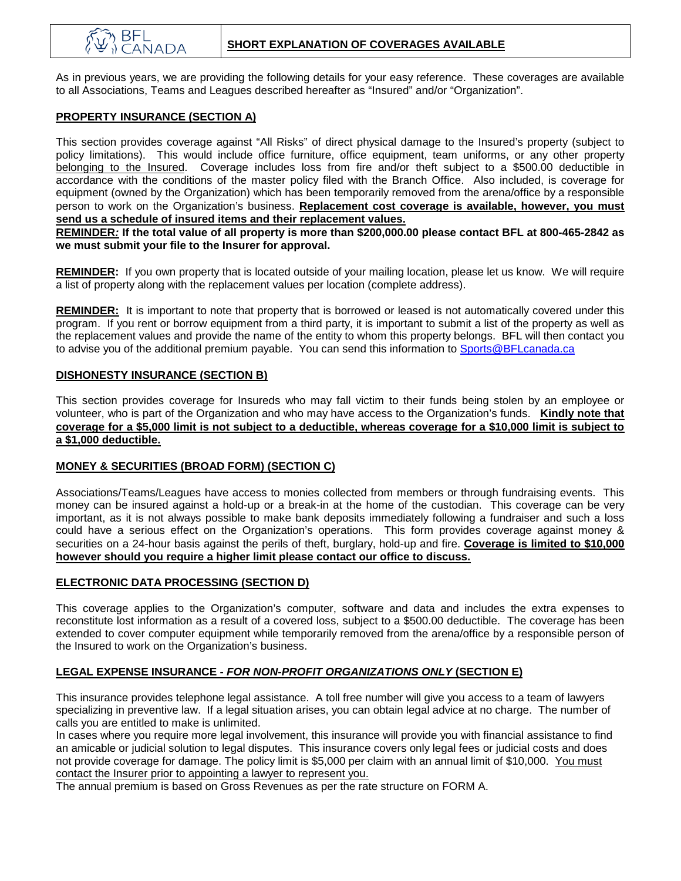As in previous years, we are providing the following details for your easy reference. These coverages are available to all Associations, Teams and Leagues described hereafter as "Insured" and/or "Organization".

### **PROPERTY INSURANCE (SECTION A)**

This section provides coverage against "All Risks" of direct physical damage to the Insured's property (subject to policy limitations). This would include office furniture, office equipment, team uniforms, or any other property belonging to the Insured. Coverage includes loss from fire and/or theft subject to a \$500.00 deductible in accordance with the conditions of the master policy filed with the Branch Office. Also included, is coverage for equipment (owned by the Organization) which has been temporarily removed from the arena/office by a responsible person to work on the Organization's business. **Replacement cost coverage is available, however, you must send us a schedule of insured items and their replacement values.**

**REMINDER***:* **If the total value of all property is more than \$200,000.00 please contact BFL at 800-465-2842 as we must submit your file to the Insurer for approval.**

**REMINDER:** If you own property that is located outside of your mailing location, please let us know. We will require a list of property along with the replacement values per location (complete address).

**REMINDER:** It is important to note that property that is borrowed or leased is not automatically covered under this program. If you rent or borrow equipment from a third party, it is important to submit a list of the property as well as the replacement values and provide the name of the entity to whom this property belongs. BFL will then contact you to advise you of the additional premium payable. You can send this information to [Sports@BFLcanada.ca](mailto:Sports@BFLcanada.ca)

#### **DISHONESTY INSURANCE (SECTION B)**

This section provides coverage for Insureds who may fall victim to their funds being stolen by an employee or volunteer, who is part of the Organization and who may have access to the Organization's funds. **Kindly note that coverage for a \$5,000 limit is not subject to a deductible, whereas coverage for a \$10,000 limit is subject to a \$1,000 deductible.**

### **MONEY & SECURITIES (BROAD FORM) (SECTION C)**

Associations/Teams/Leagues have access to monies collected from members or through fundraising events. This money can be insured against a hold-up or a break-in at the home of the custodian. This coverage can be very important, as it is not always possible to make bank deposits immediately following a fundraiser and such a loss could have a serious effect on the Organization's operations. This form provides coverage against money & securities on a 24-hour basis against the perils of theft, burglary, hold-up and fire. **Coverage is limited to \$10,000 however should you require a higher limit please contact our office to discuss.**

### **ELECTRONIC DATA PROCESSING (SECTION D)**

This coverage applies to the Organization's computer, software and data and includes the extra expenses to reconstitute lost information as a result of a covered loss, subject to a \$500.00 deductible. The coverage has been extended to cover computer equipment while temporarily removed from the arena/office by a responsible person of the Insured to work on the Organization's business.

### **LEGAL EXPENSE INSURANCE -** *FOR NON-PROFIT ORGANIZATIONS ONLY* **(SECTION E)**

This insurance provides telephone legal assistance. A toll free number will give you access to a team of lawyers specializing in preventive law. If a legal situation arises, you can obtain legal advice at no charge. The number of calls you are entitled to make is unlimited.

In cases where you require more legal involvement, this insurance will provide you with financial assistance to find an amicable or judicial solution to legal disputes. This insurance covers only legal fees or judicial costs and does not provide coverage for damage. The policy limit is \$5,000 per claim with an annual limit of \$10,000. You must contact the Insurer prior to appointing a lawyer to represent you.

The annual premium is based on Gross Revenues as per the rate structure on FORM A.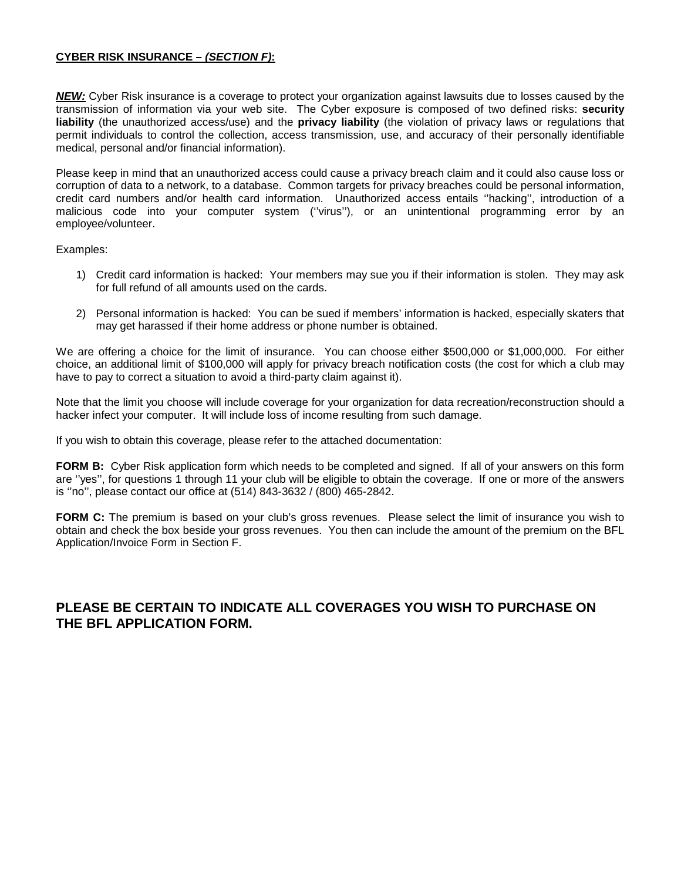#### **CYBER RISK INSURANCE –** *(SECTION F)***:**

*NEW:* Cyber Risk insurance is a coverage to protect your organization against lawsuits due to losses caused by the transmission of information via your web site. The Cyber exposure is composed of two defined risks: **security liability** (the unauthorized access/use) and the **privacy liability** (the violation of privacy laws or regulations that permit individuals to control the collection, access transmission, use, and accuracy of their personally identifiable medical, personal and/or financial information).

Please keep in mind that an unauthorized access could cause a privacy breach claim and it could also cause loss or corruption of data to a network, to a database. Common targets for privacy breaches could be personal information, credit card numbers and/or health card information. Unauthorized access entails ''hacking'', introduction of a malicious code into your computer system (''virus''), or an unintentional programming error by an employee/volunteer.

Examples:

- 1) Credit card information is hacked: Your members may sue you if their information is stolen. They may ask for full refund of all amounts used on the cards.
- 2) Personal information is hacked: You can be sued if members' information is hacked, especially skaters that may get harassed if their home address or phone number is obtained.

We are offering a choice for the limit of insurance. You can choose either \$500,000 or \$1,000,000. For either choice, an additional limit of \$100,000 will apply for privacy breach notification costs (the cost for which a club may have to pay to correct a situation to avoid a third-party claim against it).

Note that the limit you choose will include coverage for your organization for data recreation/reconstruction should a hacker infect your computer. It will include loss of income resulting from such damage.

If you wish to obtain this coverage, please refer to the attached documentation:

**FORM B:** Cyber Risk application form which needs to be completed and signed. If all of your answers on this form are ''yes'', for questions 1 through 11 your club will be eligible to obtain the coverage. If one or more of the answers is ''no'', please contact our office at (514) 843-3632 / (800) 465-2842.

**FORM C:** The premium is based on your club's gross revenues. Please select the limit of insurance you wish to obtain and check the box beside your gross revenues. You then can include the amount of the premium on the BFL Application/Invoice Form in Section F.

### **PLEASE BE CERTAIN TO INDICATE ALL COVERAGES YOU WISH TO PURCHASE ON THE BFL APPLICATION FORM.**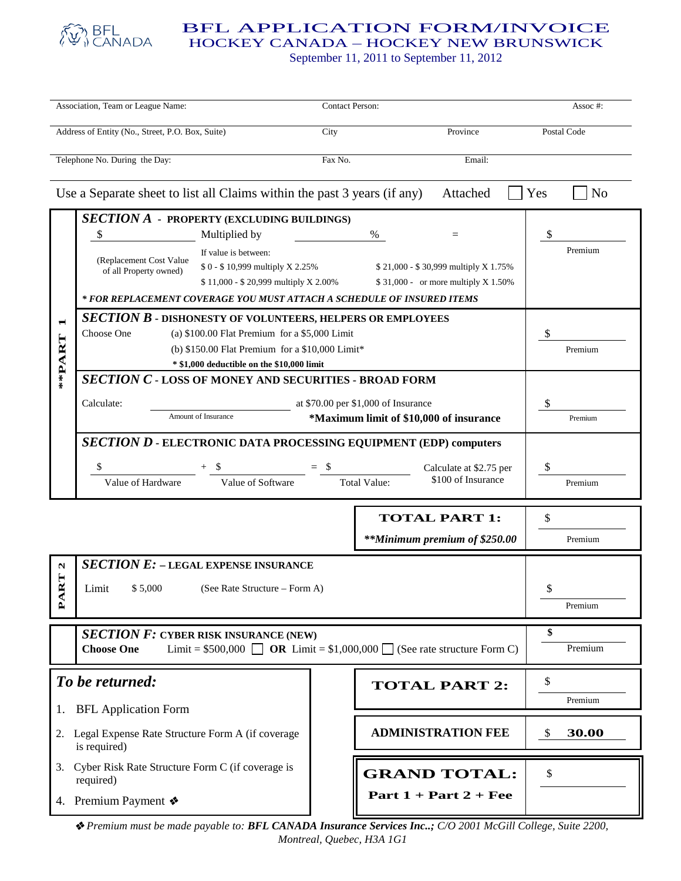

### BFL APPLICATION FORM/INVOICE

HOCKEY CANADA – HOCKEY NEW BRUNSWICK

September 11, 2011 to September 11, 2012

| Association, Team or League Name:                |                                                                                                                                                                                                              |                                                                                                                                                                       | Contact Person:      |                         |                                                                                     | Assoc#:       |  |
|--------------------------------------------------|--------------------------------------------------------------------------------------------------------------------------------------------------------------------------------------------------------------|-----------------------------------------------------------------------------------------------------------------------------------------------------------------------|----------------------|-------------------------|-------------------------------------------------------------------------------------|---------------|--|
| Address of Entity (No., Street, P.O. Box, Suite) |                                                                                                                                                                                                              |                                                                                                                                                                       | City                 |                         | Province                                                                            | Postal Code   |  |
|                                                  | Telephone No. During the Day:<br>Fax No.<br>Email:                                                                                                                                                           |                                                                                                                                                                       |                      |                         |                                                                                     |               |  |
|                                                  | Use a Separate sheet to list all Claims within the past 3 years (if any)                                                                                                                                     | Yes<br>N <sub>o</sub>                                                                                                                                                 |                      |                         |                                                                                     |               |  |
| $\blacksquare$<br>**PART                         | \$<br>(Replacement Cost Value<br>of all Property owned)                                                                                                                                                      | <b>SECTION A - PROPERTY (EXCLUDING BUILDINGS)</b><br>Multiplied by<br>If value is between:<br>\$0 - \$10,999 multiply X 2.25%<br>\$11,000 - \$20,999 multiply X 2.00% |                      | %                       | $=$<br>\$21,000 - \$30,999 multiply X 1.75%<br>$$31,000$ - or more multiply X 1.50% | \$<br>Premium |  |
|                                                  | * FOR REPLACEMENT COVERAGE YOU MUST ATTACH A SCHEDULE OF INSURED ITEMS<br><b>SECTION B - DISHONESTY OF VOLUNTEERS, HELPERS OR EMPLOYEES</b>                                                                  |                                                                                                                                                                       |                      |                         |                                                                                     |               |  |
|                                                  | Choose One<br>(a) $$100.00$ Flat Premium for a $$5,000$ Limit<br>(b) $$150.00$ Flat Premium for a $$10,000$ Limit*<br>* \$1,000 deductible on the \$10,000 limit                                             |                                                                                                                                                                       |                      |                         |                                                                                     | \$<br>Premium |  |
|                                                  | <b>SECTION C - LOSS OF MONEY AND SECURITIES - BROAD FORM</b><br>Calculate:<br>at \$70.00 per \$1,000 of Insurance<br>Amount of Insurance<br>*Maximum limit of \$10,000 of insurance                          |                                                                                                                                                                       |                      |                         |                                                                                     | \$<br>Premium |  |
|                                                  | SECTION D - ELECTRONIC DATA PROCESSING EQUIPMENT (EDP) computers<br>\$<br>$+$ \$<br>$=$ \$<br>Calculate at \$2.75 per<br>\$100 of Insurance<br>Value of Software<br><b>Total Value:</b><br>Value of Hardware |                                                                                                                                                                       |                      |                         |                                                                                     | \$<br>Premium |  |
|                                                  |                                                                                                                                                                                                              |                                                                                                                                                                       |                      |                         | <b>TOTAL PART 1:</b><br>**Minimum premium of \$250.00                               | \$<br>Premium |  |
| N<br>⊨<br>M<br>₹<br>ല്                           | <b>SECTION E: - LEGAL EXPENSE INSURANCE</b><br>$$5,000$ (See Rate Structure – Form A)<br>Limit                                                                                                               |                                                                                                                                                                       |                      |                         | \$<br>Premium                                                                       |               |  |
|                                                  | <b>SECTION F: CYBER RISK INSURANCE (NEW)</b><br>Limit = $$500,000$ $\Box$ OR Limit = $$1,000,000$ $\Box$ (See rate structure Form C)<br><b>Choose One</b>                                                    |                                                                                                                                                                       |                      |                         |                                                                                     | \$<br>Premium |  |
| To be returned:                                  |                                                                                                                                                                                                              |                                                                                                                                                                       | <b>TOTAL PART 2:</b> |                         | \$<br>Premium                                                                       |               |  |
| 1.<br>2.                                         | <b>BFL</b> Application Form<br>Legal Expense Rate Structure Form A (if coverage<br>is required)                                                                                                              |                                                                                                                                                                       |                      |                         | <b>ADMINISTRATION FEE</b>                                                           | 30.00<br>\$   |  |
|                                                  | 3. Cyber Risk Rate Structure Form C (if coverage is<br>required)                                                                                                                                             |                                                                                                                                                                       |                      |                         | <b>GRAND TOTAL:</b>                                                                 | \$            |  |
|                                                  | 4. Premium Payment $\clubsuit$                                                                                                                                                                               |                                                                                                                                                                       |                      | Part $1 + Part 2 + Fee$ |                                                                                     |               |  |

 *Premium must be made payable to: BFL CANADA Insurance Services Inc..; C/O 2001 McGill College, Suite 2200, Montreal, Quebec, H3A 1G1*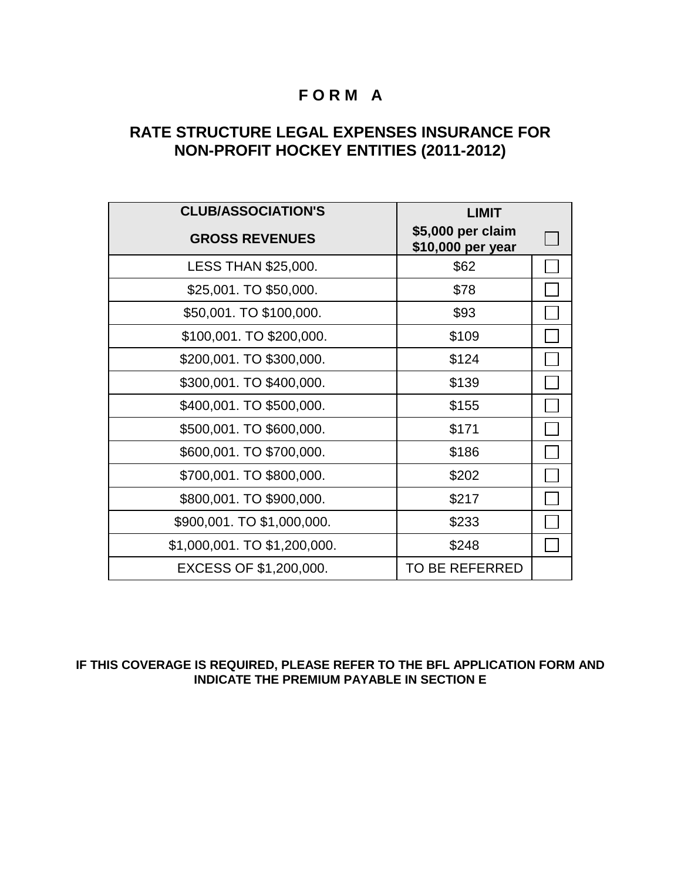## **F O R M A**

## **RATE STRUCTURE LEGAL EXPENSES INSURANCE FOR NON-PROFIT HOCKEY ENTITIES (2011-2012)**

| <b>CLUB/ASSOCIATION'S</b>    | <b>LIMIT</b>                           |  |
|------------------------------|----------------------------------------|--|
| <b>GROSS REVENUES</b>        | \$5,000 per claim<br>\$10,000 per year |  |
| <b>LESS THAN \$25,000.</b>   | \$62                                   |  |
| \$25,001. TO \$50,000.       | \$78                                   |  |
| \$50,001. TO \$100,000.      | \$93                                   |  |
| \$100,001. TO \$200,000.     | \$109                                  |  |
| \$200,001. TO \$300,000.     | \$124                                  |  |
| \$300,001. TO \$400,000.     | \$139                                  |  |
| \$400,001. TO \$500,000.     | \$155                                  |  |
| \$500,001. TO \$600,000.     | \$171                                  |  |
| \$600,001. TO \$700,000.     | \$186                                  |  |
| \$700,001. TO \$800,000.     | \$202                                  |  |
| \$800,001. TO \$900,000.     | \$217                                  |  |
| \$900,001. TO \$1,000,000.   | \$233                                  |  |
| \$1,000,001. TO \$1,200,000. | \$248                                  |  |
| EXCESS OF \$1,200,000.       | <b>TO BE REFERRED</b>                  |  |

### **IF THIS COVERAGE IS REQUIRED, PLEASE REFER TO THE BFL APPLICATION FORM AND INDICATE THE PREMIUM PAYABLE IN SECTION E**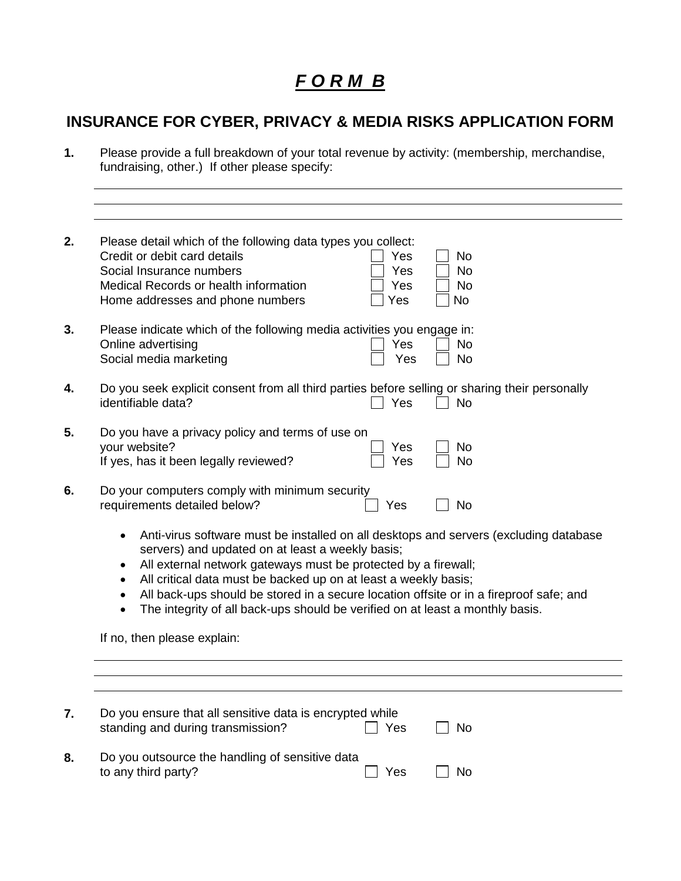# *F O R M B*

## **INSURANCE FOR CYBER, PRIVACY & MEDIA RISKS APPLICATION FORM**

**1.** Please provide a full breakdown of your total revenue by activity: (membership, merchandise, fundraising, other.) If other please specify:

|                                                                                                                                                                                                                                                                                                                                                                                                                                                                                          | Please detail which of the following data types you collect:<br>Credit or debit card details<br>Yes<br>No<br>Social Insurance numbers<br>Yes<br><b>No</b><br>Medical Records or health information<br>Yes<br><b>No</b><br>Yes<br>Home addresses and phone numbers<br>No |  |  |  |
|------------------------------------------------------------------------------------------------------------------------------------------------------------------------------------------------------------------------------------------------------------------------------------------------------------------------------------------------------------------------------------------------------------------------------------------------------------------------------------------|-------------------------------------------------------------------------------------------------------------------------------------------------------------------------------------------------------------------------------------------------------------------------|--|--|--|
|                                                                                                                                                                                                                                                                                                                                                                                                                                                                                          | Please indicate which of the following media activities you engage in:<br>Online advertising<br>Yes<br><b>No</b><br>Social media marketing<br>Yes<br><b>No</b>                                                                                                          |  |  |  |
|                                                                                                                                                                                                                                                                                                                                                                                                                                                                                          | Do you seek explicit consent from all third parties before selling or sharing their personally<br>identifiable data?<br><b>No</b><br>Yes                                                                                                                                |  |  |  |
|                                                                                                                                                                                                                                                                                                                                                                                                                                                                                          | Do you have a privacy policy and terms of use on<br>your website?<br>No<br>Yes<br>If yes, has it been legally reviewed?<br>Yes<br>No                                                                                                                                    |  |  |  |
|                                                                                                                                                                                                                                                                                                                                                                                                                                                                                          | Do your computers comply with minimum security<br>requirements detailed below?<br><b>No</b><br>Yes                                                                                                                                                                      |  |  |  |
| Anti-virus software must be installed on all desktops and servers (excluding database<br>$\bullet$<br>servers) and updated on at least a weekly basis;<br>All external network gateways must be protected by a firewall;<br>٠<br>All critical data must be backed up on at least a weekly basis;<br>$\bullet$<br>All back-ups should be stored in a secure location offsite or in a fireproof safe; and<br>The integrity of all back-ups should be verified on at least a monthly basis. |                                                                                                                                                                                                                                                                         |  |  |  |
|                                                                                                                                                                                                                                                                                                                                                                                                                                                                                          | If no, then please explain:                                                                                                                                                                                                                                             |  |  |  |
|                                                                                                                                                                                                                                                                                                                                                                                                                                                                                          |                                                                                                                                                                                                                                                                         |  |  |  |
|                                                                                                                                                                                                                                                                                                                                                                                                                                                                                          | Do you ensure that all sensitive data is encrypted while<br>standing and during transmission?<br>Yes<br>No                                                                                                                                                              |  |  |  |
|                                                                                                                                                                                                                                                                                                                                                                                                                                                                                          | Do you outsource the handling of sensitive data<br>to any third party?<br>No<br>Yes                                                                                                                                                                                     |  |  |  |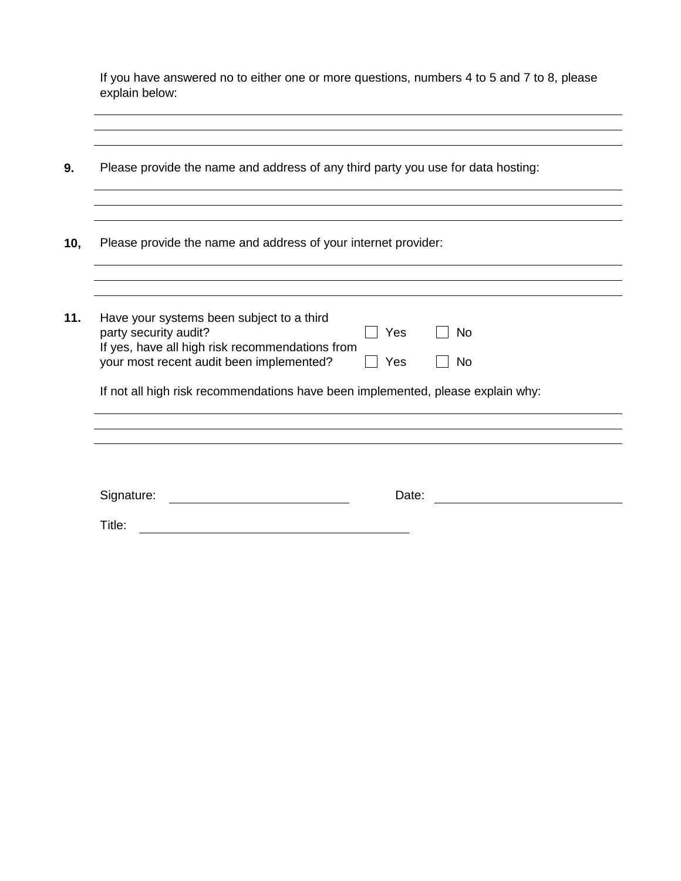If you have answered no to either one or more questions, numbers 4 to 5 and 7 to 8, please explain below:

| 9.  | Please provide the name and address of any third party you use for data hosting:                                                                                                                                                                                               |  |  |  |  |
|-----|--------------------------------------------------------------------------------------------------------------------------------------------------------------------------------------------------------------------------------------------------------------------------------|--|--|--|--|
| 10, | Please provide the name and address of your internet provider:                                                                                                                                                                                                                 |  |  |  |  |
|     |                                                                                                                                                                                                                                                                                |  |  |  |  |
| 11. | Have your systems been subject to a third<br>party security audit?<br>Yes<br>No<br>If yes, have all high risk recommendations from<br>your most recent audit been implemented?<br>Yes<br>No<br>If not all high risk recommendations have been implemented, please explain why: |  |  |  |  |
|     |                                                                                                                                                                                                                                                                                |  |  |  |  |
|     |                                                                                                                                                                                                                                                                                |  |  |  |  |
|     | Signature:<br>Date:                                                                                                                                                                                                                                                            |  |  |  |  |
|     | Title:                                                                                                                                                                                                                                                                         |  |  |  |  |